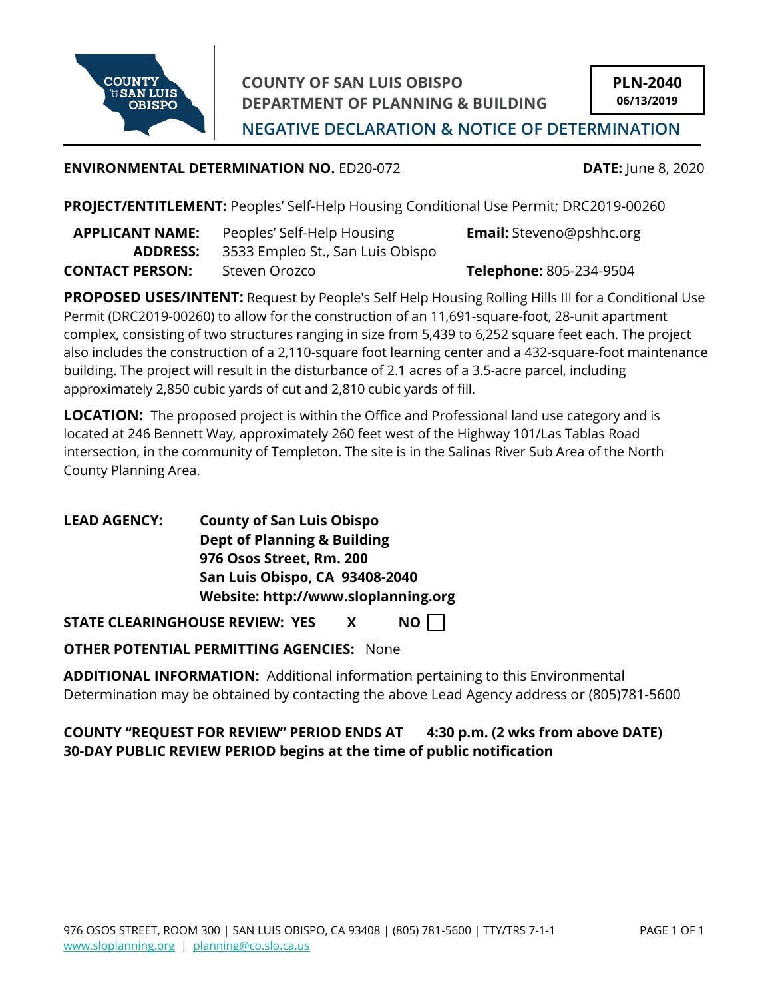

**COUNTY OF SAN LUIS OBISPO DEPARTMENT OF PLANNING & BUILDING**

**NEGATIVE DECLARATION & NOTICE OF DETERMINATION**

## **ENVIRONMENTAL DETERMINATION NO.** ED20-072 **DATE:** June 8, 2020

**PROJECT/ENTITLEMENT:** Peoples' Self-Help Housing Conditional Use Permit; DRC2019-00260

| <b>APPLICANT NAME:</b> | Peoples' Self-Help Housing       | <b>Email:</b> Steveno@pshhc.org |
|------------------------|----------------------------------|---------------------------------|
| ADDRESS:               | 3533 Empleo St., San Luis Obispo |                                 |
| <b>CONTACT PERSON:</b> | Steven Orozco                    | Telephone: 805-234-9504         |

**PROPOSED USES/INTENT:** Request by People's Self Help Housing Rolling Hills III for a Conditional Use Permit (DRC2019-00260) to allow for the construction of an 11,691-square-foot, 28-unit apartment complex, consisting of two structures ranging in size from 5,439 to 6,252 square feet each. The project also includes the construction of a 2,110-square foot learning center and a 432-square-foot maintenance building. The project will result in the disturbance of 2.1 acres of a 3.5-acre parcel, including approximately 2,850 cubic yards of cut and 2,810 cubic yards of fill.

**LOCATION:** The proposed project is within the Office and Professional land use category and is located at 246 Bennett Way, approximately 260 feet west of the Highway 101/Las Tablas Road intersection, in the community of Templeton. The site is in the Salinas River Sub Area of the North County Planning Area.

**LEAD AGENCY: County of San Luis Obispo Dept of Planning & Building 976 Osos Street, Rm. 200 San Luis Obispo, CA 93408-2040 Website: http://www.sloplanning.org**

**STATE CLEARINGHOUSE REVIEW: YES X NO**

**OTHER POTENTIAL PERMITTING AGENCIES:** None

**ADDITIONAL INFORMATION:** Additional information pertaining to this Environmental Determination may be obtained by contacting the above Lead Agency address or (805)781-5600

**COUNTY "REQUEST FOR REVIEW" PERIOD ENDS AT 4:30 p.m. (2 wks from above DATE) 30-DAY PUBLIC REVIEW PERIOD begins at the time of public notification**